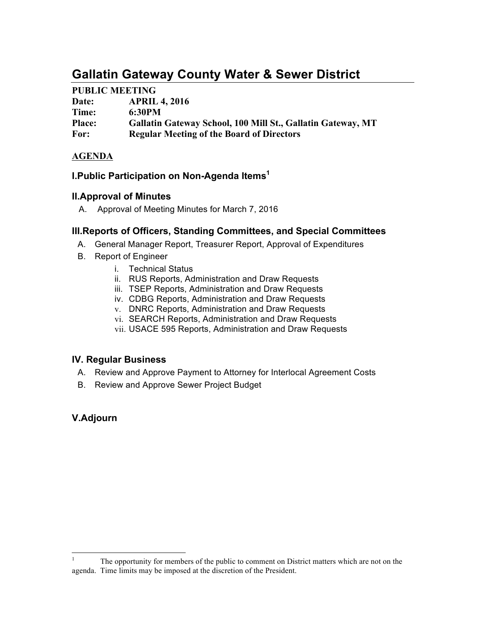# **Gallatin Gateway County Water & Sewer District**

## **PUBLIC MEETING**

| Date:         | <b>APRIL 4, 2016</b>                                        |
|---------------|-------------------------------------------------------------|
| Time:         | 6:30PM                                                      |
| <b>Place:</b> | Gallatin Gateway School, 100 Mill St., Gallatin Gateway, MT |
| For:          | <b>Regular Meeting of the Board of Directors</b>            |

### **AGENDA**

## **I.Public Participation on Non-Agenda Items1**

### **II.Approval of Minutes**

A. Approval of Meeting Minutes for March 7, 2016

## **III.Reports of Officers, Standing Committees, and Special Committees**

- A. General Manager Report, Treasurer Report, Approval of Expenditures
- B. Report of Engineer
	- i. Technical Status
	- ii. RUS Reports, Administration and Draw Requests
	- iii. TSEP Reports, Administration and Draw Requests
	- iv. CDBG Reports, Administration and Draw Requests
	- v. DNRC Reports, Administration and Draw Requests
	- vi. SEARCH Reports, Administration and Draw Requests
	- vii. USACE 595 Reports, Administration and Draw Requests

## **IV. Regular Business**

- A. Review and Approve Payment to Attorney for Interlocal Agreement Costs
- B. Review and Approve Sewer Project Budget

# **V.Adjourn**

 $1$  The opportunity for members of the public to comment on District matters which are not on the agenda. Time limits may be imposed at the discretion of the President.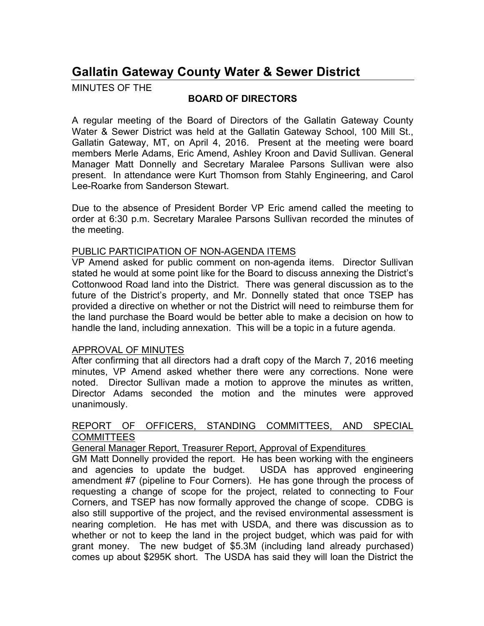# **Gallatin Gateway County Water & Sewer District**

MINUTES OF THE

## **BOARD OF DIRECTORS**

A regular meeting of the Board of Directors of the Gallatin Gateway County Water & Sewer District was held at the Gallatin Gateway School, 100 Mill St., Gallatin Gateway, MT, on April 4, 2016. Present at the meeting were board members Merle Adams, Eric Amend, Ashley Kroon and David Sullivan. General Manager Matt Donnelly and Secretary Maralee Parsons Sullivan were also present. In attendance were Kurt Thomson from Stahly Engineering, and Carol Lee-Roarke from Sanderson Stewart.

Due to the absence of President Border VP Eric amend called the meeting to order at 6:30 p.m. Secretary Maralee Parsons Sullivan recorded the minutes of the meeting.

#### PUBLIC PARTICIPATION OF NON-AGENDA ITEMS

VP Amend asked for public comment on non-agenda items. Director Sullivan stated he would at some point like for the Board to discuss annexing the District's Cottonwood Road land into the District. There was general discussion as to the future of the District's property, and Mr. Donnelly stated that once TSEP has provided a directive on whether or not the District will need to reimburse them for the land purchase the Board would be better able to make a decision on how to handle the land, including annexation. This will be a topic in a future agenda.

### APPROVAL OF MINUTES

After confirming that all directors had a draft copy of the March 7, 2016 meeting minutes, VP Amend asked whether there were any corrections. None were noted. Director Sullivan made a motion to approve the minutes as written, Director Adams seconded the motion and the minutes were approved unanimously.

#### REPORT OF OFFICERS, STANDING COMMITTEES, AND SPECIAL **COMMITTEES**

General Manager Report, Treasurer Report, Approval of Expenditures

GM Matt Donnelly provided the report. He has been working with the engineers and agencies to update the budget. USDA has approved engineering amendment #7 (pipeline to Four Corners). He has gone through the process of requesting a change of scope for the project, related to connecting to Four Corners, and TSEP has now formally approved the change of scope. CDBG is also still supportive of the project, and the revised environmental assessment is nearing completion. He has met with USDA, and there was discussion as to whether or not to keep the land in the project budget, which was paid for with grant money. The new budget of \$5.3M (including land already purchased) comes up about \$295K short. The USDA has said they will loan the District the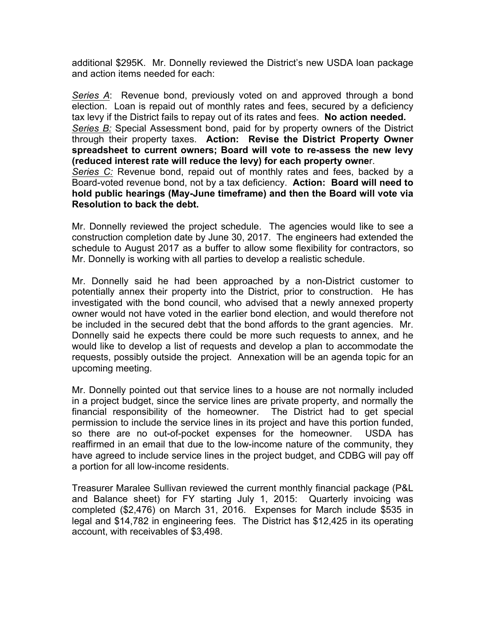additional \$295K. Mr. Donnelly reviewed the District's new USDA loan package and action items needed for each:

*Series A*: Revenue bond, previously voted on and approved through a bond election. Loan is repaid out of monthly rates and fees, secured by a deficiency tax levy if the District fails to repay out of its rates and fees. **No action needed.** *Series B:* Special Assessment bond, paid for by property owners of the District through their property taxes. **Action: Revise the District Property Owner spreadsheet to current owners; Board will vote to re-assess the new levy (reduced interest rate will reduce the levy) for each property owne**r. *Series C:* Revenue bond, repaid out of monthly rates and fees, backed by a Board-voted revenue bond, not by a tax deficiency. **Action: Board will need to hold public hearings (May-June timeframe) and then the Board will vote via** 

Mr. Donnelly reviewed the project schedule. The agencies would like to see a construction completion date by June 30, 2017. The engineers had extended the schedule to August 2017 as a buffer to allow some flexibility for contractors, so Mr. Donnelly is working with all parties to develop a realistic schedule.

**Resolution to back the debt.**

Mr. Donnelly said he had been approached by a non-District customer to potentially annex their property into the District, prior to construction. He has investigated with the bond council, who advised that a newly annexed property owner would not have voted in the earlier bond election, and would therefore not be included in the secured debt that the bond affords to the grant agencies. Mr. Donnelly said he expects there could be more such requests to annex, and he would like to develop a list of requests and develop a plan to accommodate the requests, possibly outside the project. Annexation will be an agenda topic for an upcoming meeting.

Mr. Donnelly pointed out that service lines to a house are not normally included in a project budget, since the service lines are private property, and normally the financial responsibility of the homeowner. The District had to get special permission to include the service lines in its project and have this portion funded, so there are no out-of-pocket expenses for the homeowner. USDA has reaffirmed in an email that due to the low-income nature of the community, they have agreed to include service lines in the project budget, and CDBG will pay off a portion for all low-income residents.

Treasurer Maralee Sullivan reviewed the current monthly financial package (P&L and Balance sheet) for FY starting July 1, 2015: Quarterly invoicing was completed (\$2,476) on March 31, 2016. Expenses for March include \$535 in legal and \$14,782 in engineering fees. The District has \$12,425 in its operating account, with receivables of \$3,498.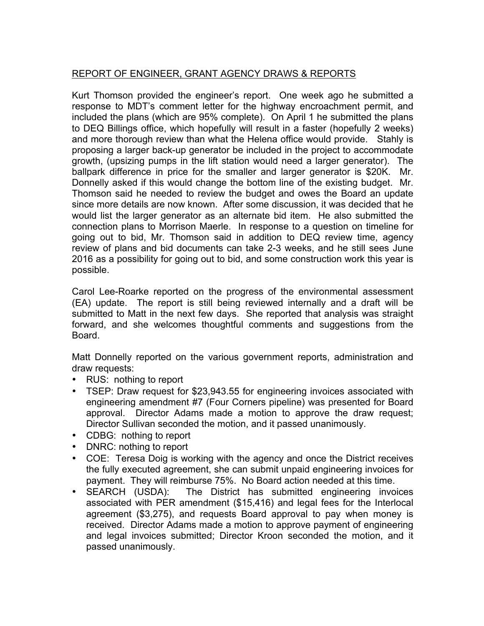# REPORT OF ENGINEER, GRANT AGENCY DRAWS & REPORTS

Kurt Thomson provided the engineer's report. One week ago he submitted a response to MDT's comment letter for the highway encroachment permit, and included the plans (which are 95% complete). On April 1 he submitted the plans to DEQ Billings office, which hopefully will result in a faster (hopefully 2 weeks) and more thorough review than what the Helena office would provide. Stahly is proposing a larger back-up generator be included in the project to accommodate growth, (upsizing pumps in the lift station would need a larger generator). The ballpark difference in price for the smaller and larger generator is \$20K. Mr. Donnelly asked if this would change the bottom line of the existing budget. Mr. Thomson said he needed to review the budget and owes the Board an update since more details are now known. After some discussion, it was decided that he would list the larger generator as an alternate bid item. He also submitted the connection plans to Morrison Maerle. In response to a question on timeline for going out to bid, Mr. Thomson said in addition to DEQ review time, agency review of plans and bid documents can take 2-3 weeks, and he still sees June 2016 as a possibility for going out to bid, and some construction work this year is possible.

Carol Lee-Roarke reported on the progress of the environmental assessment (EA) update. The report is still being reviewed internally and a draft will be submitted to Matt in the next few days. She reported that analysis was straight forward, and she welcomes thoughtful comments and suggestions from the Board.

Matt Donnelly reported on the various government reports, administration and draw requests:

- RUS: nothing to report
- TSEP: Draw request for \$23,943.55 for engineering invoices associated with engineering amendment #7 (Four Corners pipeline) was presented for Board approval. Director Adams made a motion to approve the draw request; Director Sullivan seconded the motion, and it passed unanimously.
- CDBG: nothing to report
- DNRC: nothing to report
- COE: Teresa Doig is working with the agency and once the District receives the fully executed agreement, she can submit unpaid engineering invoices for payment. They will reimburse 75%. No Board action needed at this time.
- SEARCH (USDA): The District has submitted engineering invoices associated with PER amendment (\$15,416) and legal fees for the Interlocal agreement (\$3,275), and requests Board approval to pay when money is received. Director Adams made a motion to approve payment of engineering and legal invoices submitted; Director Kroon seconded the motion, and it passed unanimously.